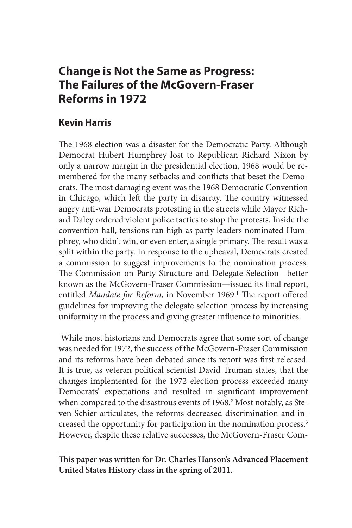# **Change is Not the Same as Progress: The Failures of the McGovern-Fraser Reforms in 1972**

# **Kevin Harris**

The 1968 election was a disaster for the Democratic Party. Although Democrat Hubert Humphrey lost to Republican Richard Nixon by only a narrow margin in the presidential election, 1968 would be remembered for the many setbacks and conflicts that beset the Democrats. The most damaging event was the 1968 Democratic Convention in Chicago, which left the party in disarray. The country witnessed angry anti-war Democrats protesting in the streets while Mayor Richard Daley ordered violent police tactics to stop the protests. Inside the convention hall, tensions ran high as party leaders nominated Humphrey, who didn't win, or even enter, a single primary. The result was a split within the party. In response to the upheaval, Democrats created a commission to suggest improvements to the nomination process. The Commission on Party Structure and Delegate Selection—better known as the McGovern-Fraser Commission—issued its final report, entitled Mandate for Reform, in November 1969.<sup>1</sup> The report offered guidelines for improving the delegate selection process by increasing uniformity in the process and giving greater influence to minorities.

 While most historians and Democrats agree that some sort of change was needed for 1972, the success of the McGovern-Fraser Commission and its reforms have been debated since its report was first released. It is true, as veteran political scientist David Truman states, that the changes implemented for the 1972 election process exceeded many Democrats' expectations and resulted in significant improvement when compared to the disastrous events of 1968.<sup>2</sup> Most notably, as Steven Schier articulates, the reforms decreased discrimination and increased the opportunity for participation in the nomination process.3 However, despite these relative successes, the McGovern-Fraser Com-

**This paper was written for Dr. Charles Hanson's Advanced Placement United States History class in the spring of 2011.**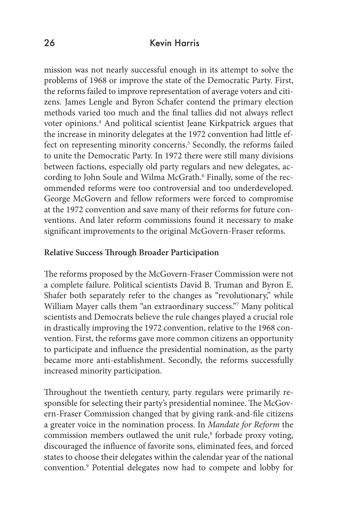mission was not nearly successful enough in its attempt to solve the problems of 1968 or improve the state of the Democratic Party. First, the reforms failed to improve representation of average voters and citizens. James Lengle and Byron Schafer contend the primary election methods varied too much and the final tallies did not always reflect voter opinions.4 And political scientist Jeane Kirkpatrick argues that the increase in minority delegates at the 1972 convention had little effect on representing minority concerns.<sup>5</sup> Secondly, the reforms failed to unite the Democratic Party. In 1972 there were still many divisions between factions, especially old party regulars and new delegates, according to John Soule and Wilma McGrath.6 Finally, some of the recommended reforms were too controversial and too underdeveloped. George McGovern and fellow reformers were forced to compromise at the 1972 convention and save many of their reforms for future conventions. And later reform commissions found it necessary to make significant improvements to the original McGovern-Fraser reforms.

# **Relative Success Through Broader Participation**

The reforms proposed by the McGovern-Fraser Commission were not a complete failure. Political scientists David B. Truman and Byron E. Shafer both separately refer to the changes as "revolutionary," while William Mayer calls them "an extraordinary success."7 Many political scientists and Democrats believe the rule changes played a crucial role in drastically improving the 1972 convention, relative to the 1968 convention. First, the reforms gave more common citizens an opportunity to participate and influence the presidential nomination, as the party became more anti-establishment. Secondly, the reforms successfully increased minority participation.

Throughout the twentieth century, party regulars were primarily responsible for selecting their party's presidential nominee. The McGovern-Fraser Commission changed that by giving rank-and-file citizens a greater voice in the nomination process. In *Mandate for Reform* the commission members outlawed the unit rule,<sup>8</sup> forbade proxy voting, discouraged the influence of favorite sons, eliminated fees, and forced states to choose their delegates within the calendar year of the national convention.9 Potential delegates now had to compete and lobby for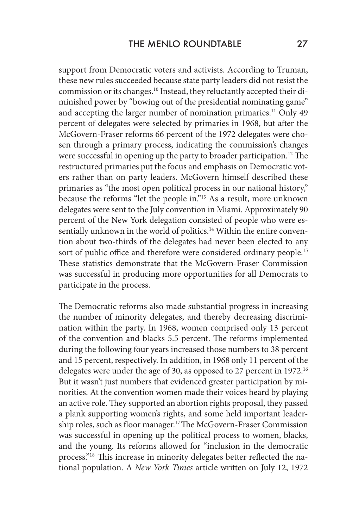support from Democratic voters and activists. According to Truman, these new rules succeeded because state party leaders did not resist the commission or its changes.<sup>10</sup> Instead, they reluctantly accepted their diminished power by "bowing out of the presidential nominating game" and accepting the larger number of nomination primaries.<sup>11</sup> Only 49 percent of delegates were selected by primaries in 1968, but after the McGovern-Fraser reforms 66 percent of the 1972 delegates were chosen through a primary process, indicating the commission's changes were successful in opening up the party to broader participation.<sup>12</sup> The restructured primaries put the focus and emphasis on Democratic voters rather than on party leaders. McGovern himself described these primaries as "the most open political process in our national history," because the reforms "let the people in."13 As a result, more unknown delegates were sent to the July convention in Miami. Approximately 90 percent of the New York delegation consisted of people who were essentially unknown in the world of politics.<sup>14</sup> Within the entire convention about two-thirds of the delegates had never been elected to any sort of public office and therefore were considered ordinary people.<sup>15</sup> These statistics demonstrate that the McGovern-Fraser Commission was successful in producing more opportunities for all Democrats to participate in the process.

The Democratic reforms also made substantial progress in increasing the number of minority delegates, and thereby decreasing discrimination within the party. In 1968, women comprised only 13 percent of the convention and blacks 5.5 percent. The reforms implemented during the following four years increased those numbers to 38 percent and 15 percent, respectively. In addition, in 1968 only 11 percent of the delegates were under the age of 30, as opposed to 27 percent in 1972.<sup>16</sup> But it wasn't just numbers that evidenced greater participation by minorities. At the convention women made their voices heard by playing an active role. They supported an abortion rights proposal, they passed a plank supporting women's rights, and some held important leadership roles, such as floor manager.<sup>17</sup> The McGovern-Fraser Commission was successful in opening up the political process to women, blacks, and the young. Its reforms allowed for "inclusion in the democratic process."18 This increase in minority delegates better reflected the national population. A *New York Times* article written on July 12, 1972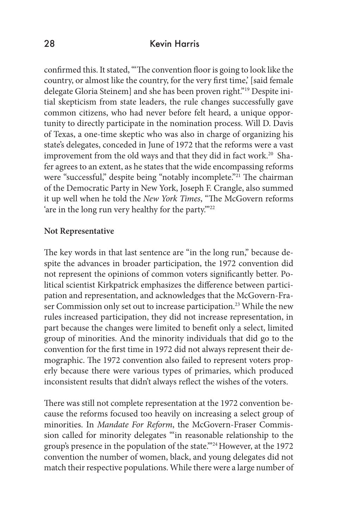confirmed this. It stated, "'The convention floor is going to look like the country, or almost like the country, for the very first time,' [said female delegate Gloria Steinem] and she has been proven right."19 Despite initial skepticism from state leaders, the rule changes successfully gave common citizens, who had never before felt heard, a unique opportunity to directly participate in the nomination process. Will D. Davis of Texas, a one-time skeptic who was also in charge of organizing his state's delegates, conceded in June of 1972 that the reforms were a vast improvement from the old ways and that they did in fact work.<sup>20</sup> Shafer agrees to an extent, as he states that the wide encompassing reforms were "successful," despite being "notably incomplete."<sup>21</sup> The chairman of the Democratic Party in New York, Joseph F. Crangle, also summed it up well when he told the *New York Times*, "The McGovern reforms 'are in the long run very healthy for the party.'"22

#### **Not Representative**

The key words in that last sentence are "in the long run," because despite the advances in broader participation, the 1972 convention did not represent the opinions of common voters significantly better. Political scientist Kirkpatrick emphasizes the difference between participation and representation, and acknowledges that the McGovern-Fraser Commission only set out to increase participation.<sup>23</sup> While the new rules increased participation, they did not increase representation, in part because the changes were limited to benefit only a select, limited group of minorities. And the minority individuals that did go to the convention for the first time in 1972 did not always represent their demographic. The 1972 convention also failed to represent voters properly because there were various types of primaries, which produced inconsistent results that didn't always reflect the wishes of the voters.

There was still not complete representation at the 1972 convention because the reforms focused too heavily on increasing a select group of minorities. In *Mandate For Reform*, the McGovern-Fraser Commission called for minority delegates "'in reasonable relationship to the group's presence in the population of the state.'"24 However, at the 1972 convention the number of women, black, and young delegates did not match their respective populations. While there were a large number of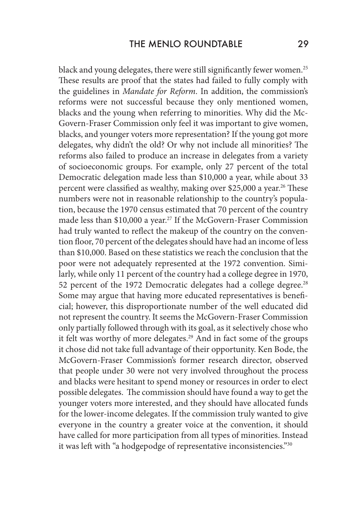black and young delegates, there were still significantly fewer women.25 These results are proof that the states had failed to fully comply with the guidelines in *Mandate for Reform*. In addition, the commission's reforms were not successful because they only mentioned women, blacks and the young when referring to minorities. Why did the Mc-Govern-Fraser Commission only feel it was important to give women, blacks, and younger voters more representation? If the young got more delegates, why didn't the old? Or why not include all minorities? The reforms also failed to produce an increase in delegates from a variety of socioeconomic groups. For example, only 27 percent of the total Democratic delegation made less than \$10,000 a year, while about 33 percent were classified as wealthy, making over \$25,000 a year.<sup>26</sup> These numbers were not in reasonable relationship to the country's population, because the 1970 census estimated that 70 percent of the country made less than \$10,000 a year.<sup>27</sup> If the McGovern-Fraser Commission had truly wanted to reflect the makeup of the country on the convention floor, 70 percent of the delegates should have had an income of less than \$10,000. Based on these statistics we reach the conclusion that the poor were not adequately represented at the 1972 convention. Similarly, while only 11 percent of the country had a college degree in 1970, 52 percent of the 1972 Democratic delegates had a college degree.<sup>28</sup> Some may argue that having more educated representatives is beneficial; however, this disproportionate number of the well educated did not represent the country. It seems the McGovern-Fraser Commission only partially followed through with its goal, as it selectively chose who it felt was worthy of more delegates.<sup>29</sup> And in fact some of the groups it chose did not take full advantage of their opportunity. Ken Bode, the McGovern-Fraser Commission's former research director, observed that people under 30 were not very involved throughout the process and blacks were hesitant to spend money or resources in order to elect possible delegates. The commission should have found a way to get the younger voters more interested, and they should have allocated funds for the lower-income delegates. If the commission truly wanted to give everyone in the country a greater voice at the convention, it should have called for more participation from all types of minorities. Instead it was left with "a hodgepodge of representative inconsistencies."30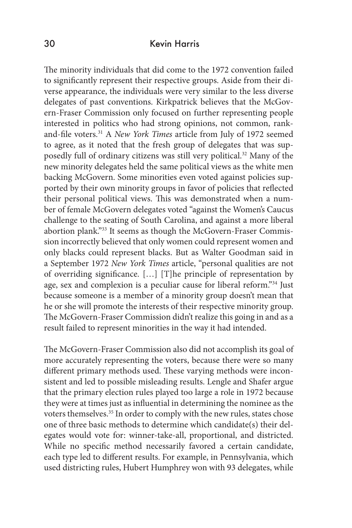The minority individuals that did come to the 1972 convention failed to significantly represent their respective groups. Aside from their diverse appearance, the individuals were very similar to the less diverse delegates of past conventions. Kirkpatrick believes that the McGovern-Fraser Commission only focused on further representing people interested in politics who had strong opinions, not common, rankand-file voters.31 A *New York Times* article from July of 1972 seemed to agree, as it noted that the fresh group of delegates that was supposedly full of ordinary citizens was still very political.32 Many of the new minority delegates held the same political views as the white men backing McGovern. Some minorities even voted against policies supported by their own minority groups in favor of policies that reflected their personal political views. This was demonstrated when a number of female McGovern delegates voted "against the Women's Caucus challenge to the seating of South Carolina, and against a more liberal abortion plank."33 It seems as though the McGovern-Fraser Commission incorrectly believed that only women could represent women and only blacks could represent blacks. But as Walter Goodman said in a September 1972 *New York Times* article, "personal qualities are not of overriding significance. […] [T]he principle of representation by age, sex and complexion is a peculiar cause for liberal reform."34 Just because someone is a member of a minority group doesn't mean that he or she will promote the interests of their respective minority group. The McGovern-Fraser Commission didn't realize this going in and as a result failed to represent minorities in the way it had intended.

The McGovern-Fraser Commission also did not accomplish its goal of more accurately representing the voters, because there were so many different primary methods used. These varying methods were inconsistent and led to possible misleading results. Lengle and Shafer argue that the primary election rules played too large a role in 1972 because they were at times just as influential in determining the nominee as the voters themselves.35 In order to comply with the new rules, states chose one of three basic methods to determine which candidate(s) their delegates would vote for: winner-take-all, proportional, and districted. While no specific method necessarily favored a certain candidate, each type led to different results. For example, in Pennsylvania, which used districting rules, Hubert Humphrey won with 93 delegates, while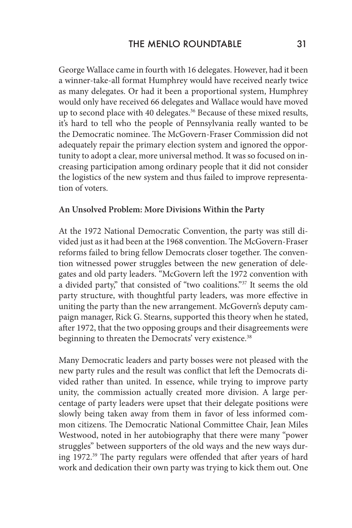George Wallace came in fourth with 16 delegates. However, had it been a winner-take-all format Humphrey would have received nearly twice as many delegates. Or had it been a proportional system, Humphrey would only have received 66 delegates and Wallace would have moved up to second place with 40 delegates.<sup>36</sup> Because of these mixed results, it's hard to tell who the people of Pennsylvania really wanted to be the Democratic nominee. The McGovern-Fraser Commission did not adequately repair the primary election system and ignored the opportunity to adopt a clear, more universal method. It was so focused on increasing participation among ordinary people that it did not consider the logistics of the new system and thus failed to improve representation of voters.

#### **An Unsolved Problem: More Divisions Within the Party**

At the 1972 National Democratic Convention, the party was still divided just as it had been at the 1968 convention. The McGovern-Fraser reforms failed to bring fellow Democrats closer together. The convention witnessed power struggles between the new generation of delegates and old party leaders. "McGovern left the 1972 convention with a divided party," that consisted of "two coalitions."37 It seems the old party structure, with thoughtful party leaders, was more effective in uniting the party than the new arrangement. McGovern's deputy campaign manager, Rick G. Stearns, supported this theory when he stated, after 1972, that the two opposing groups and their disagreements were beginning to threaten the Democrats' very existence.<sup>38</sup>

Many Democratic leaders and party bosses were not pleased with the new party rules and the result was conflict that left the Democrats divided rather than united. In essence, while trying to improve party unity, the commission actually created more division. A large percentage of party leaders were upset that their delegate positions were slowly being taken away from them in favor of less informed common citizens. The Democratic National Committee Chair, Jean Miles Westwood, noted in her autobiography that there were many "power struggles" between supporters of the old ways and the new ways during 1972.39 The party regulars were offended that after years of hard work and dedication their own party was trying to kick them out. One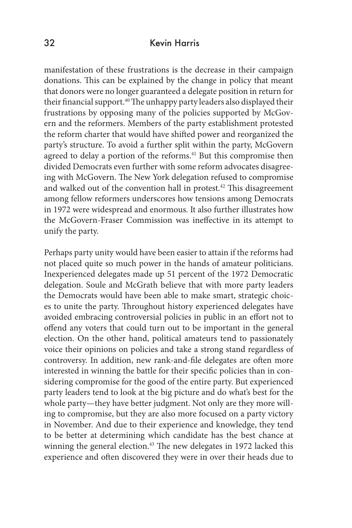manifestation of these frustrations is the decrease in their campaign donations. This can be explained by the change in policy that meant that donors were no longer guaranteed a delegate position in return for their financial support.<sup>40</sup> The unhappy party leaders also displayed their frustrations by opposing many of the policies supported by McGovern and the reformers. Members of the party establishment protested the reform charter that would have shifted power and reorganized the party's structure. To avoid a further split within the party, McGovern agreed to delay a portion of the reforms.<sup>41</sup> But this compromise then divided Democrats even further with some reform advocates disagreeing with McGovern. The New York delegation refused to compromise and walked out of the convention hall in protest.42 This disagreement among fellow reformers underscores how tensions among Democrats in 1972 were widespread and enormous. It also further illustrates how the McGovern-Fraser Commission was ineffective in its attempt to unify the party.

Perhaps party unity would have been easier to attain if the reforms had not placed quite so much power in the hands of amateur politicians. Inexperienced delegates made up 51 percent of the 1972 Democratic delegation. Soule and McGrath believe that with more party leaders the Democrats would have been able to make smart, strategic choices to unite the party. Throughout history experienced delegates have avoided embracing controversial policies in public in an effort not to offend any voters that could turn out to be important in the general election. On the other hand, political amateurs tend to passionately voice their opinions on policies and take a strong stand regardless of controversy. In addition, new rank-and-file delegates are often more interested in winning the battle for their specific policies than in considering compromise for the good of the entire party. But experienced party leaders tend to look at the big picture and do what's best for the whole party—they have better judgment. Not only are they more willing to compromise, but they are also more focused on a party victory in November. And due to their experience and knowledge, they tend to be better at determining which candidate has the best chance at winning the general election.<sup>43</sup> The new delegates in 1972 lacked this experience and often discovered they were in over their heads due to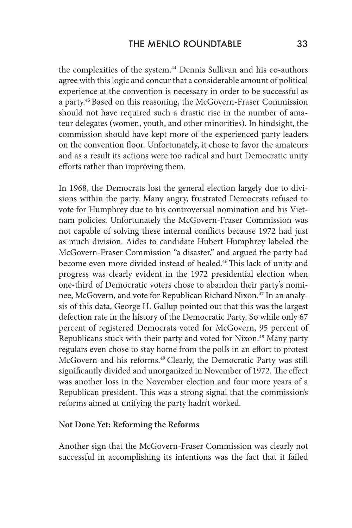the complexities of the system.<sup>44</sup> Dennis Sullivan and his co-authors agree with this logic and concur that a considerable amount of political experience at the convention is necessary in order to be successful as a party.45 Based on this reasoning, the McGovern-Fraser Commission should not have required such a drastic rise in the number of amateur delegates (women, youth, and other minorities). In hindsight, the commission should have kept more of the experienced party leaders on the convention floor. Unfortunately, it chose to favor the amateurs and as a result its actions were too radical and hurt Democratic unity efforts rather than improving them.

In 1968, the Democrats lost the general election largely due to divisions within the party. Many angry, frustrated Democrats refused to vote for Humphrey due to his controversial nomination and his Vietnam policies. Unfortunately the McGovern-Fraser Commission was not capable of solving these internal conflicts because 1972 had just as much division. Aides to candidate Hubert Humphrey labeled the McGovern-Fraser Commission "a disaster," and argued the party had become even more divided instead of healed.<sup>46</sup> This lack of unity and progress was clearly evident in the 1972 presidential election when one-third of Democratic voters chose to abandon their party's nominee, McGovern, and vote for Republican Richard Nixon.<sup>47</sup> In an analysis of this data, George H. Gallup pointed out that this was the largest defection rate in the history of the Democratic Party. So while only 67 percent of registered Democrats voted for McGovern, 95 percent of Republicans stuck with their party and voted for Nixon.<sup>48</sup> Many party regulars even chose to stay home from the polls in an effort to protest McGovern and his reforms.<sup>49</sup> Clearly, the Democratic Party was still significantly divided and unorganized in November of 1972. The effect was another loss in the November election and four more years of a Republican president. This was a strong signal that the commission's reforms aimed at unifying the party hadn't worked.

#### **Not Done Yet: Reforming the Reforms**

Another sign that the McGovern-Fraser Commission was clearly not successful in accomplishing its intentions was the fact that it failed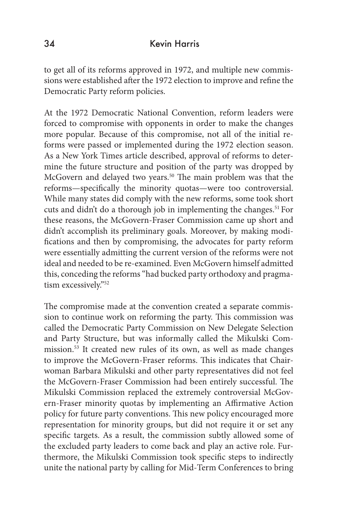to get all of its reforms approved in 1972, and multiple new commissions were established after the 1972 election to improve and refine the Democratic Party reform policies.

At the 1972 Democratic National Convention, reform leaders were forced to compromise with opponents in order to make the changes more popular. Because of this compromise, not all of the initial reforms were passed or implemented during the 1972 election season. As a New York Times article described, approval of reforms to determine the future structure and position of the party was dropped by McGovern and delayed two years.50 The main problem was that the reforms—specifically the minority quotas—were too controversial. While many states did comply with the new reforms, some took short cuts and didn't do a thorough job in implementing the changes.<sup>51</sup> For these reasons, the McGovern-Fraser Commission came up short and didn't accomplish its preliminary goals. Moreover, by making modifications and then by compromising, the advocates for party reform were essentially admitting the current version of the reforms were not ideal and needed to be re-examined. Even McGovern himself admitted this, conceding the reforms "had bucked party orthodoxy and pragmatism excessively."52

The compromise made at the convention created a separate commission to continue work on reforming the party. This commission was called the Democratic Party Commission on New Delegate Selection and Party Structure, but was informally called the Mikulski Commission.53 It created new rules of its own, as well as made changes to improve the McGovern-Fraser reforms. This indicates that Chairwoman Barbara Mikulski and other party representatives did not feel the McGovern-Fraser Commission had been entirely successful. The Mikulski Commission replaced the extremely controversial McGovern-Fraser minority quotas by implementing an Affirmative Action policy for future party conventions. This new policy encouraged more representation for minority groups, but did not require it or set any specific targets. As a result, the commission subtly allowed some of the excluded party leaders to come back and play an active role. Furthermore, the Mikulski Commission took specific steps to indirectly unite the national party by calling for Mid-Term Conferences to bring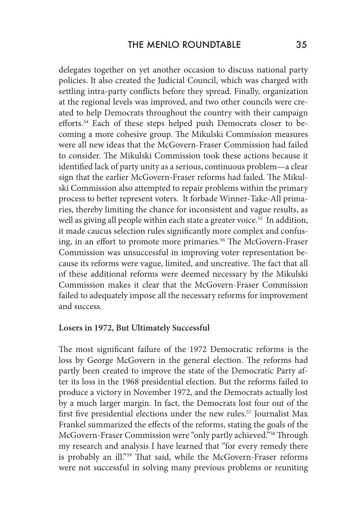delegates together on yet another occasion to discuss national party policies. It also created the Judicial Council, which was charged with settling intra-party conflicts before they spread. Finally, organization at the regional levels was improved, and two other councils were created to help Democrats throughout the country with their campaign efforts.54 Each of these steps helped push Democrats closer to becoming a more cohesive group. The Mikulski Commission measures were all new ideas that the McGovern-Fraser Commission had failed to consider. The Mikulski Commission took these actions because it identified lack of party unity as a serious, continuous problem—a clear sign that the earlier McGovern-Fraser reforms had failed. The Mikulski Commission also attempted to repair problems within the primary process to better represent voters. It forbade Winner-Take-All primaries, thereby limiting the chance for inconsistent and vague results, as well as giving all people within each state a greater voice.<sup>55</sup> In addition, it made caucus selection rules significantly more complex and confusing, in an effort to promote more primaries.<sup>56</sup> The McGovern-Fraser Commission was unsuccessful in improving voter representation because its reforms were vague, limited, and uncreative. The fact that all of these additional reforms were deemed necessary by the Mikulski Commission makes it clear that the McGovern-Fraser Commission failed to adequately impose all the necessary reforms for improvement and success.

#### **Losers in 1972, But Ultimately Successful**

The most significant failure of the 1972 Democratic reforms is the loss by George McGovern in the general election. The reforms had partly been created to improve the state of the Democratic Party after its loss in the 1968 presidential election. But the reforms failed to produce a victory in November 1972, and the Democrats actually lost by a much larger margin. In fact, the Democrats lost four out of the first five presidential elections under the new rules.<sup>57</sup> Journalist Max Frankel summarized the effects of the reforms, stating the goals of the McGovern-Fraser Commission were "only partly achieved."58 Through my research and analysis I have learned that "for every remedy there is probably an ill."<sup>59</sup> That said, while the McGovern-Fraser reforms were not successful in solving many previous problems or reuniting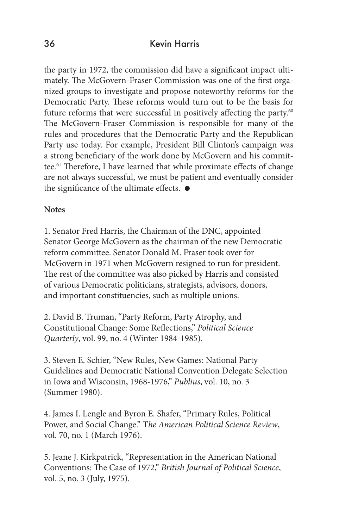the party in 1972, the commission did have a significant impact ultimately. The McGovern-Fraser Commission was one of the first organized groups to investigate and propose noteworthy reforms for the Democratic Party. These reforms would turn out to be the basis for future reforms that were successful in positively affecting the party.<sup>60</sup> The McGovern-Fraser Commission is responsible for many of the rules and procedures that the Democratic Party and the Republican Party use today. For example, President Bill Clinton's campaign was a strong beneficiary of the work done by McGovern and his committee.61 Therefore, I have learned that while proximate effects of change are not always successful, we must be patient and eventually consider the significance of the ultimate effects.  $\bullet$ 

#### **Notes**

1. Senator Fred Harris, the Chairman of the DNC, appointed Senator George McGovern as the chairman of the new Democratic reform committee. Senator Donald M. Fraser took over for McGovern in 1971 when McGovern resigned to run for president. The rest of the committee was also picked by Harris and consisted of various Democratic politicians, strategists, advisors, donors, and important constituencies, such as multiple unions.

2. David B. Truman, "Party Reform, Party Atrophy, and Constitutional Change: Some Reflections," *Political Science Quarterly*, vol. 99, no. 4 (Winter 1984-1985).

3. Steven E. Schier, "New Rules, New Games: National Party Guidelines and Democratic National Convention Delegate Selection in Iowa and Wisconsin, 1968-1976," *Publius*, vol. 10, no. 3 (Summer 1980).

4. James I. Lengle and Byron E. Shafer, "Primary Rules, Political Power, and Social Change." T*he American Political Science Review*, vol. 70, no. 1 (March 1976).

5. Jeane J. Kirkpatrick, "Representation in the American National Conventions: The Case of 1972," *British Journal of Political Science*, vol. 5, no. 3 (July, 1975).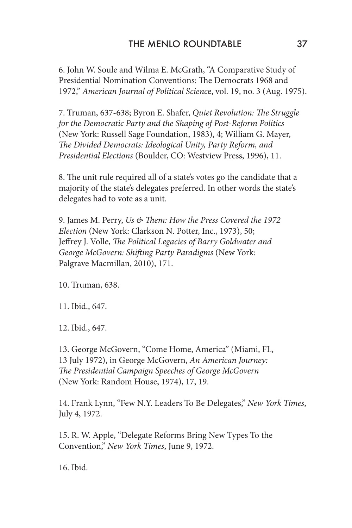6. John W. Soule and Wilma E. McGrath, "A Comparative Study of Presidential Nomination Conventions: The Democrats 1968 and 1972," *American Journal of Political Scienc*e, vol. 19, no. 3 (Aug. 1975).

7. Truman, 637-638; Byron E. Shafer, *Quiet Revolution: The Struggle for the Democratic Party and the Shaping of Post-Reform Politics* (New York: Russell Sage Foundation, 1983), 4; William G. Mayer, *The Divided Democrats: Ideological Unity, Party Reform, and Presidential Elections* (Boulder, CO: Westview Press, 1996), 11.

8. The unit rule required all of a state's votes go the candidate that a majority of the state's delegates preferred. In other words the state's delegates had to vote as a unit.

9. James M. Perry, *Us & Them: How the Press Covered the 1972 Election* (New York: Clarkson N. Potter, Inc., 1973), 50; Jeffrey J. Volle, *The Political Legacies of Barry Goldwater and George McGovern: Shifting Party Paradigms* (New York: Palgrave Macmillan, 2010), 171.

10. Truman, 638.

11. Ibid., 647.

12. Ibid., 647.

13. George McGovern, "Come Home, America" (Miami, FL, 13 July 1972), in George McGovern, *An American Journey: The Presidential Campaign Speeches of George McGovern* (New York: Random House, 1974), 17, 19.

14. Frank Lynn, "Few N.Y. Leaders To Be Delegates," *New York Times*, July 4, 1972.

15. R. W. Apple, "Delegate Reforms Bring New Types To the Convention," *New York Times*, June 9, 1972.

16. Ibid.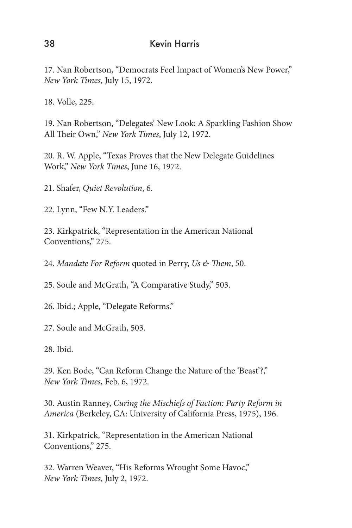17. Nan Robertson, "Democrats Feel Impact of Women's New Power," *New York Times*, July 15, 1972.

18. Volle, 225.

19. Nan Robertson, "Delegates' New Look: A Sparkling Fashion Show All Their Own," *New York Times*, July 12, 1972.

20. R. W. Apple, "Texas Proves that the New Delegate Guidelines Work," *New York Times*, June 16, 1972.

21. Shafer, *Quiet Revolution*, 6.

22. Lynn, "Few N.Y. Leaders."

23. Kirkpatrick, "Representation in the American National Conventions," 275.

24. *Mandate For Reform* quoted in Perry, *Us & Them*, 50.

25. Soule and McGrath, "A Comparative Study," 503.

26. Ibid.; Apple, "Delegate Reforms."

27. Soule and McGrath, 503.

28. Ibid.

29. Ken Bode, "Can Reform Change the Nature of the 'Beast'?," *New York Times*, Feb. 6, 1972.

30. Austin Ranney, *Curing the Mischiefs of Faction: Party Reform in America* (Berkeley, CA: University of California Press, 1975), 196.

31. Kirkpatrick, "Representation in the American National Conventions," 275.

32. Warren Weaver, "His Reforms Wrought Some Havoc," *New York Times*, July 2, 1972.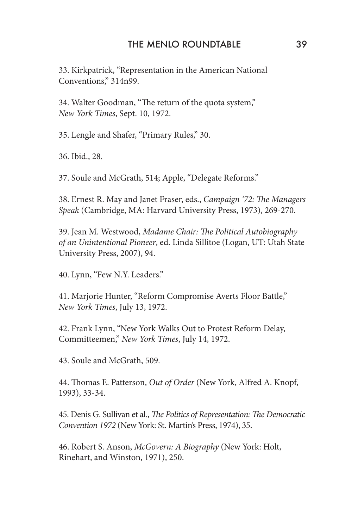33. Kirkpatrick, "Representation in the American National Conventions," 314n99.

34. Walter Goodman, "The return of the quota system," *New York Times*, Sept. 10, 1972.

35. Lengle and Shafer, "Primary Rules," 30.

36. Ibid., 28.

37. Soule and McGrath, 514; Apple, "Delegate Reforms."

38. Ernest R. May and Janet Fraser, eds., *Campaign '72: The Managers Speak* (Cambridge, MA: Harvard University Press, 1973), 269-270.

39. Jean M. Westwood, *Madame Chair: The Political Autobiography of an Unintentional Pioneer*, ed. Linda Sillitoe (Logan, UT: Utah State University Press, 2007), 94.

40. Lynn, "Few N.Y. Leaders."

41. Marjorie Hunter, "Reform Compromise Averts Floor Battle," *New York Times*, July 13, 1972.

42. Frank Lynn, "New York Walks Out to Protest Reform Delay, Committeemen," *New York Times*, July 14, 1972.

43. Soule and McGrath, 509.

44. Thomas E. Patterson, *Out of Order* (New York, Alfred A. Knopf, 1993), 33-34.

45. Denis G. Sullivan et al., *The Politics of Representation: The Democratic Convention 1972* (New York: St. Martin's Press, 1974), 35.

46. Robert S. Anson, *McGovern: A Biography* (New York: Holt, Rinehart, and Winston, 1971), 250.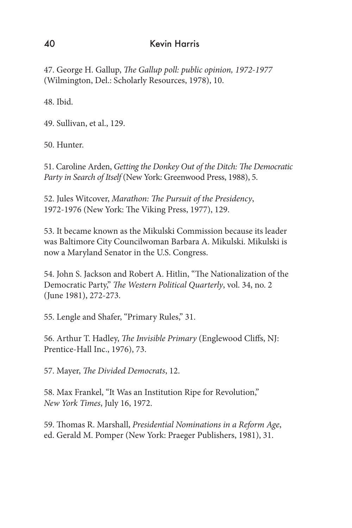47. George H. Gallup, *The Gallup poll: public opinion, 1972-1977* (Wilmington, Del.: Scholarly Resources, 1978), 10.

48. Ibid.

49. Sullivan, et al., 129.

50. Hunter.

51. Caroline Arden, *Getting the Donkey Out of the Ditch: The Democratic Party in Search of Itself* (New York: Greenwood Press, 1988), 5.

52. Jules Witcover, *Marathon: The Pursuit of the Presidency*, 1972-1976 (New York: The Viking Press, 1977), 129.

53. It became known as the Mikulski Commission because its leader was Baltimore City Councilwoman Barbara A. Mikulski. Mikulski is now a Maryland Senator in the U.S. Congress.

54. John S. Jackson and Robert A. Hitlin, "The Nationalization of the Democratic Party," *The Western Political Quarterly*, vol. 34, no. 2 (June 1981), 272-273.

55. Lengle and Shafer, "Primary Rules," 31.

56. Arthur T. Hadley, *The Invisible Primary* (Englewood Cliffs, NJ: Prentice-Hall Inc., 1976), 73.

57. Mayer, *The Divided Democrats*, 12.

58. Max Frankel, "It Was an Institution Ripe for Revolution," *New York Times*, July 16, 1972.

59. Thomas R. Marshall, *Presidential Nominations in a Reform Age*, ed. Gerald M. Pomper (New York: Praeger Publishers, 1981), 31.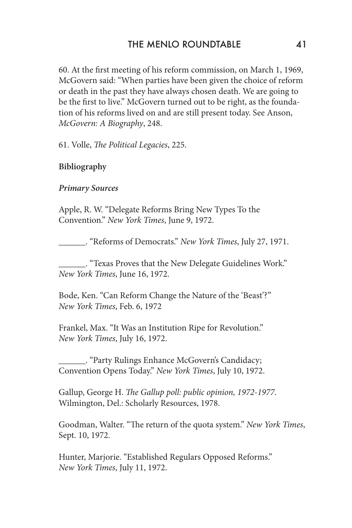60. At the first meeting of his reform commission, on March 1, 1969, McGovern said: "When parties have been given the choice of reform or death in the past they have always chosen death. We are going to be the first to live." McGovern turned out to be right, as the foundation of his reforms lived on and are still present today. See Anson, *McGovern: A Biography*, 248.

61. Volle, *The Political Legacies*, 225.

# **Bibliography**

### *Primary Sources*

Apple, R. W. "Delegate Reforms Bring New Types To the Convention." *New York Times*, June 9, 1972.

\_\_\_\_\_\_. "Reforms of Democrats." *New York Times*, July 27, 1971.

\_\_\_\_\_\_. "Texas Proves that the New Delegate Guidelines Work." *New York Times*, June 16, 1972.

Bode, Ken. "Can Reform Change the Nature of the 'Beast'?" *New York Times*, Feb. 6, 1972

Frankel, Max. "It Was an Institution Ripe for Revolution." *New York Times*, July 16, 1972.

\_\_\_\_\_\_. "Party Rulings Enhance McGovern's Candidacy; Convention Opens Today." *New York Times*, July 10, 1972.

Gallup, George H. *The Gallup poll: public opinion, 1972-1977*. Wilmington, Del.: Scholarly Resources, 1978.

Goodman, Walter. "The return of the quota system." *New York Times*, Sept. 10, 1972.

Hunter, Marjorie. "Established Regulars Opposed Reforms." *New York Times*, July 11, 1972.